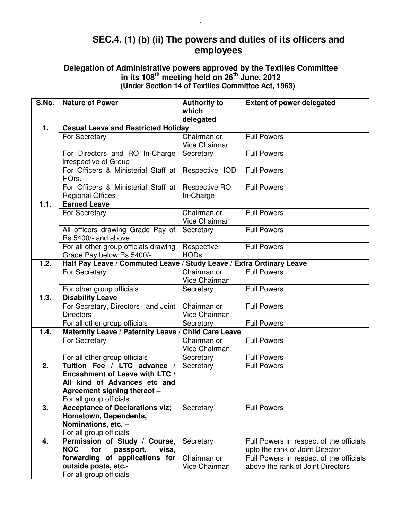## **SEC.4. (1) (b) (ii) The powers and duties of its officers and employees**

## **Delegation of Administrative powers approved by the Textiles Committee in its 108th meeting held on 26th June, 2012 (Under Section 14 of Textiles Committee Act, 1963)**

| S.No.            | <b>Nature of Power</b>                                               | <b>Authority to</b>          | <b>Extent of power delegated</b>                                             |  |
|------------------|----------------------------------------------------------------------|------------------------------|------------------------------------------------------------------------------|--|
|                  |                                                                      | which                        |                                                                              |  |
|                  | delegated                                                            |                              |                                                                              |  |
| 1.               | <b>Casual Leave and Restricted Holiday</b>                           |                              |                                                                              |  |
|                  | For Secretary                                                        | Chairman or                  | <b>Full Powers</b>                                                           |  |
|                  |                                                                      | Vice Chairman                |                                                                              |  |
|                  | For Directors and RO In-Charge                                       | Secretary                    | <b>Full Powers</b>                                                           |  |
|                  | irrespective of Group<br>For Officers & Ministerial Staff at         | Respective HOD               | <b>Full Powers</b>                                                           |  |
|                  | HQrs.                                                                |                              |                                                                              |  |
|                  | For Officers & Ministerial Staff at                                  | Respective RO                | <b>Full Powers</b>                                                           |  |
|                  | <b>Regional Offices</b>                                              | In-Charge                    |                                                                              |  |
| 1.1.             | <b>Earned Leave</b>                                                  |                              |                                                                              |  |
|                  | For Secretary                                                        | Chairman or                  | <b>Full Powers</b>                                                           |  |
|                  |                                                                      | Vice Chairman                |                                                                              |  |
|                  | All officers drawing Grade Pay of                                    | Secretary                    | <b>Full Powers</b>                                                           |  |
|                  | Rs.5400/- and above                                                  |                              |                                                                              |  |
|                  | For all other group officials drawing                                | Respective                   | <b>Full Powers</b>                                                           |  |
|                  | Grade Pay below Rs.5400/-                                            | <b>HODs</b>                  |                                                                              |  |
| 1.2.             | Half Pay Leave / Commuted Leave / Study Leave / Extra Ordinary Leave |                              |                                                                              |  |
|                  | For Secretary                                                        | Chairman or                  | <b>Full Powers</b>                                                           |  |
|                  |                                                                      | Vice Chairman                |                                                                              |  |
| 1.3.             | For other group officials<br><b>Disability Leave</b>                 | Secretary                    | <b>Full Powers</b>                                                           |  |
|                  | For Secretary, Directors and Joint                                   | Chairman or                  | <b>Full Powers</b>                                                           |  |
|                  | <b>Directors</b>                                                     | Vice Chairman                |                                                                              |  |
|                  | For all other group officials                                        | Secretary                    | <b>Full Powers</b>                                                           |  |
| 1.4.             | Maternity Leave / Paternity Leave /                                  | <b>Child Care Leave</b>      |                                                                              |  |
|                  | For Secretary                                                        | Chairman or                  | <b>Full Powers</b>                                                           |  |
|                  |                                                                      | Vice Chairman                |                                                                              |  |
|                  | For all other group officials                                        | Secretary                    | <b>Full Powers</b>                                                           |  |
| $\overline{2}$ . | Tuition Fee / LTC advance /                                          | Secretary                    | <b>Full Powers</b>                                                           |  |
|                  | Encashment of Leave with LTC /                                       |                              |                                                                              |  |
|                  | All kind of Advances etc and                                         |                              |                                                                              |  |
|                  | Agreement signing thereof -                                          |                              |                                                                              |  |
|                  | For all group officials                                              |                              |                                                                              |  |
| 3.               | <b>Acceptance of Declarations viz;</b>                               | Secretary                    | <b>Full Powers</b>                                                           |  |
|                  | Hometown, Dependents,                                                |                              |                                                                              |  |
|                  | Nominations, etc. -                                                  |                              |                                                                              |  |
|                  | For all group officials                                              |                              |                                                                              |  |
| 4.               | Permission of Study / Course,                                        | Secretary                    | Full Powers in respect of the officials                                      |  |
|                  | <b>NOC</b><br>for<br>passport,<br>visa,                              |                              | upto the rank of Joint Director                                              |  |
|                  | forwarding of applications for<br>outside posts, etc.-               | Chairman or<br>Vice Chairman | Full Powers in respect of the officials<br>above the rank of Joint Directors |  |
|                  | For all group officials                                              |                              |                                                                              |  |
|                  |                                                                      |                              |                                                                              |  |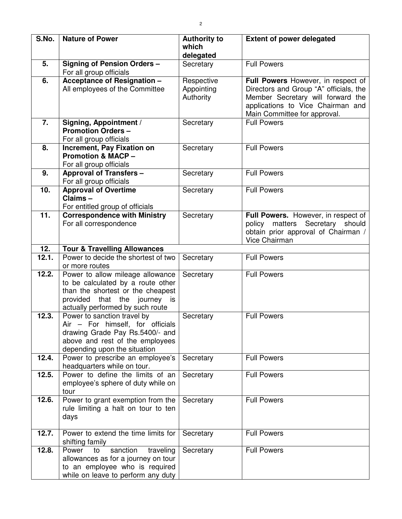| S.No.             | <b>Nature of Power</b>                                                                                                                                                            | <b>Authority to</b><br>which<br>delegated | <b>Extent of power delegated</b>                                                                                                                                                       |
|-------------------|-----------------------------------------------------------------------------------------------------------------------------------------------------------------------------------|-------------------------------------------|----------------------------------------------------------------------------------------------------------------------------------------------------------------------------------------|
| 5.                | <b>Signing of Pension Orders -</b><br>For all group officials                                                                                                                     | Secretary                                 | <b>Full Powers</b>                                                                                                                                                                     |
| 6.                | <b>Acceptance of Resignation -</b><br>All employees of the Committee                                                                                                              | Respective<br>Appointing<br>Authority     | Full Powers However, in respect of<br>Directors and Group "A" officials, the<br>Member Secretary will forward the<br>applications to Vice Chairman and<br>Main Committee for approval. |
| 7.                | Signing, Appointment /<br><b>Promotion Orders-</b><br>For all group officials                                                                                                     | Secretary                                 | <b>Full Powers</b>                                                                                                                                                                     |
| 8.                | Increment, Pay Fixation on<br><b>Promotion &amp; MACP -</b><br>For all group officials                                                                                            | Secretary                                 | <b>Full Powers</b>                                                                                                                                                                     |
| 9.                | <b>Approval of Transfers -</b><br>For all group officials                                                                                                                         | Secretary                                 | <b>Full Powers</b>                                                                                                                                                                     |
| 10.               | <b>Approval of Overtime</b><br>Claims-<br>For entitled group of officials                                                                                                         | Secretary                                 | <b>Full Powers</b>                                                                                                                                                                     |
| $\overline{11}$ . | <b>Correspondence with Ministry</b><br>For all correspondence                                                                                                                     | Secretary                                 | Full Powers. However, in respect of<br>policy matters Secretary should<br>obtain prior approval of Chairman /<br>Vice Chairman                                                         |
| 12.               | <b>Tour &amp; Travelling Allowances</b>                                                                                                                                           |                                           |                                                                                                                                                                                        |
| 12.1.             | Power to decide the shortest of two<br>or more routes                                                                                                                             | Secretary                                 | <b>Full Powers</b>                                                                                                                                                                     |
| 12.2.             | Power to allow mileage allowance<br>to be calculated by a route other<br>than the shortest or the cheapest<br>that the journey is<br>provided<br>actually performed by such route | Secretary                                 | <b>Full Powers</b>                                                                                                                                                                     |
| 12.3.             | Power to sanction travel by<br>Air - For himself, for officials<br>drawing Grade Pay Rs.5400/- and<br>above and rest of the employees<br>depending upon the situation             | Secretary                                 | <b>Full Powers</b>                                                                                                                                                                     |
| 12.4.             | Power to prescribe an employee's<br>headquarters while on tour.                                                                                                                   | Secretary                                 | <b>Full Powers</b>                                                                                                                                                                     |
| 12.5.             | Power to define the limits of an<br>employee's sphere of duty while on<br>tour                                                                                                    | Secretary                                 | <b>Full Powers</b>                                                                                                                                                                     |
| 12.6.             | Power to grant exemption from the<br>rule limiting a halt on tour to ten<br>days                                                                                                  | Secretary                                 | <b>Full Powers</b>                                                                                                                                                                     |
| 12.7.             | Power to extend the time limits for<br>shifting family                                                                                                                            | Secretary                                 | <b>Full Powers</b>                                                                                                                                                                     |
| 12.8.             | sanction<br>traveling<br>Power<br>to<br>allowances as for a journey on tour<br>to an employee who is required<br>while on leave to perform any duty                               | Secretary                                 | <b>Full Powers</b>                                                                                                                                                                     |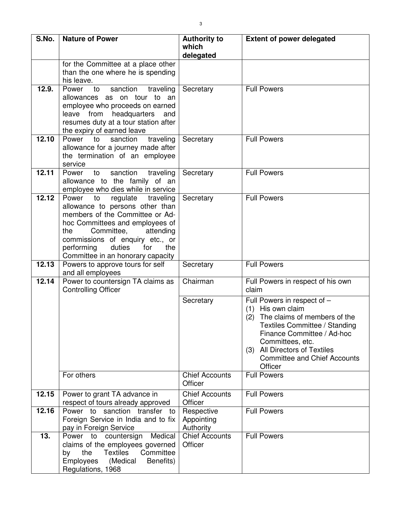| S.No. | <b>Nature of Power</b>                                                                                                                                                                                                                                                                        | <b>Authority to</b><br>which<br>delegated | <b>Extent of power delegated</b>                                                                                                                                                                                                                                 |
|-------|-----------------------------------------------------------------------------------------------------------------------------------------------------------------------------------------------------------------------------------------------------------------------------------------------|-------------------------------------------|------------------------------------------------------------------------------------------------------------------------------------------------------------------------------------------------------------------------------------------------------------------|
|       | for the Committee at a place other<br>than the one where he is spending<br>his leave.                                                                                                                                                                                                         |                                           |                                                                                                                                                                                                                                                                  |
| 12.9. | Power<br>sanction<br>traveling<br>to<br>allowances as on tour to an<br>employee who proceeds on earned<br>leave from<br>headquarters<br>and<br>resumes duty at a tour station after<br>the expiry of earned leave                                                                             | Secretary                                 | <b>Full Powers</b>                                                                                                                                                                                                                                               |
| 12.10 | Power<br>to<br>sanction<br>traveling<br>allowance for a journey made after<br>the termination of an employee<br>service                                                                                                                                                                       | Secretary                                 | <b>Full Powers</b>                                                                                                                                                                                                                                               |
| 12.11 | sanction<br>Power<br>to<br>traveling<br>allowance to the family of an<br>employee who dies while in service                                                                                                                                                                                   | Secretary                                 | <b>Full Powers</b>                                                                                                                                                                                                                                               |
| 12.12 | regulate<br>Power<br>to<br>traveling<br>allowance to persons other than<br>members of the Committee or Ad-<br>hoc Committees and employees of<br>Committee,<br>attending<br>the<br>commissions of enquiry etc., or<br>performing<br>duties<br>for<br>the<br>Committee in an honorary capacity | Secretary                                 | <b>Full Powers</b>                                                                                                                                                                                                                                               |
| 12.13 | Powers to approve tours for self<br>and all employees                                                                                                                                                                                                                                         | Secretary                                 | <b>Full Powers</b>                                                                                                                                                                                                                                               |
| 12.14 | Power to countersign TA claims as<br><b>Controlling Officer</b>                                                                                                                                                                                                                               | Chairman                                  | Full Powers in respect of his own<br>claim                                                                                                                                                                                                                       |
|       |                                                                                                                                                                                                                                                                                               | Secretary                                 | Full Powers in respect of -<br>His own claim<br>(1)<br>The claims of members of the<br>(2)<br>Textiles Committee / Standing<br>Finance Committee / Ad-hoc<br>Committees, etc.<br>(3) All Directors of Textiles<br><b>Committee and Chief Accounts</b><br>Officer |
|       | For others                                                                                                                                                                                                                                                                                    | <b>Chief Accounts</b><br>Officer          | <b>Full Powers</b>                                                                                                                                                                                                                                               |
| 12.15 | Power to grant TA advance in<br>respect of tours already approved                                                                                                                                                                                                                             | <b>Chief Accounts</b><br>Officer          | <b>Full Powers</b>                                                                                                                                                                                                                                               |
| 12.16 | Power to sanction transfer to<br>Foreign Service in India and to fix<br>pay in Foreign Service                                                                                                                                                                                                | Respective<br>Appointing<br>Authority     | <b>Full Powers</b>                                                                                                                                                                                                                                               |
| 13.   | Power to countersign Medical<br>claims of the employees governed<br>Committee<br>the<br><b>Textiles</b><br>by<br><b>Employees</b><br>(Medical<br>Benefits)<br>Regulations, 1968                                                                                                               | Chief Accounts<br>Officer                 | <b>Full Powers</b>                                                                                                                                                                                                                                               |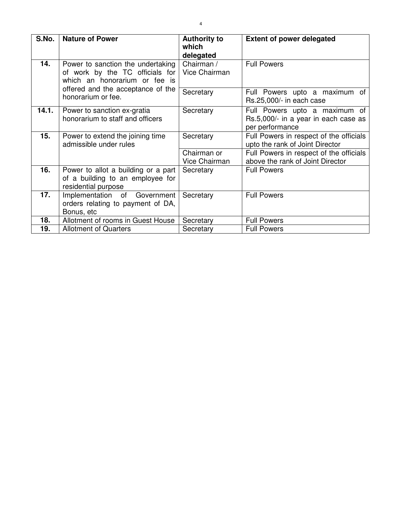| S.No. | <b>Nature of Power</b>                                                                                | <b>Authority to</b><br>which<br>delegated | <b>Extent of power delegated</b>                                                         |
|-------|-------------------------------------------------------------------------------------------------------|-------------------------------------------|------------------------------------------------------------------------------------------|
| 14.   | Power to sanction the undertaking<br>of work by the TC officials for<br>which an honorarium or fee is | Chairman /<br>Vice Chairman               | <b>Full Powers</b>                                                                       |
|       | offered and the acceptance of the<br>honorarium or fee.                                               | Secretary                                 | Full Powers upto a maximum of<br>Rs.25,000/- in each case                                |
| 14.1. | Power to sanction ex-gratia<br>honorarium to staff and officers                                       | Secretary                                 | Full Powers upto a maximum of<br>Rs.5,000/- in a year in each case as<br>per performance |
| 15.   | Power to extend the joining time<br>admissible under rules                                            | Secretary                                 | Full Powers in respect of the officials<br>upto the rank of Joint Director               |
|       |                                                                                                       | Chairman or<br>Vice Chairman              | Full Powers in respect of the officials<br>above the rank of Joint Director              |
| 16.   | Power to allot a building or a part<br>of a building to an employee for<br>residential purpose        | Secretary                                 | <b>Full Powers</b>                                                                       |
| 17.   | Implementation of<br>Government<br>orders relating to payment of DA,<br>Bonus, etc                    | Secretary                                 | <b>Full Powers</b>                                                                       |
| 18.   | Allotment of rooms in Guest House                                                                     | Secretary                                 | <b>Full Powers</b>                                                                       |
| 19.   | <b>Allotment of Quarters</b>                                                                          | Secretary                                 | <b>Full Powers</b>                                                                       |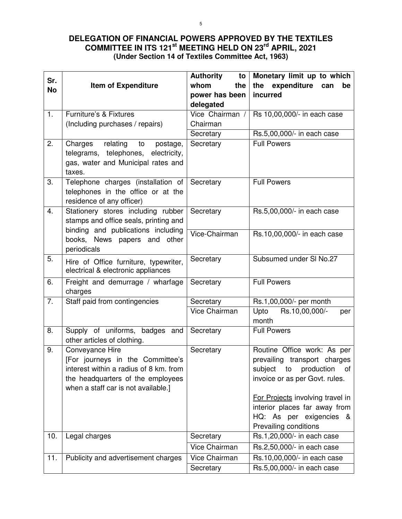## **DELEGATION OF FINANCIAL POWERS APPROVED BY THE TEXTILES COMMITTEE IN ITS 121st MEETING HELD ON 23rd APRIL, 2021 (Under Section 14 of Textiles Committee Act, 1963)**

| Sr.              |                                                                                 | <b>Authority</b><br>to        | Monetary limit up to which                          |
|------------------|---------------------------------------------------------------------------------|-------------------------------|-----------------------------------------------------|
| <b>No</b>        | <b>Item of Expenditure</b>                                                      | whom<br>the                   | the<br>expenditure<br>can<br>be                     |
|                  |                                                                                 | power has been                | incurred                                            |
|                  |                                                                                 | delegated                     |                                                     |
| 1.               | Furniture's & Fixtures                                                          | $\overline{V}$ ice Chairman / | Rs 10,00,000/- in each case                         |
|                  | (Including purchases / repairs)                                                 | Chairman                      |                                                     |
|                  |                                                                                 | Secretary                     | Rs.5,00,000/- in each case                          |
| 2.               | relating<br>Charges<br>to<br>postage,<br>telegrams, telephones,<br>electricity, | Secretary                     | <b>Full Powers</b>                                  |
|                  | gas, water and Municipal rates and<br>taxes.                                    |                               |                                                     |
| 3.               | Telephone charges (installation of<br>telephones in the office or at the        | Secretary                     | <b>Full Powers</b>                                  |
|                  | residence of any officer)                                                       |                               |                                                     |
| 4.               | Stationery stores including rubber<br>stamps and office seals, printing and     | Secretary                     | Rs.5,00,000/- in each case                          |
|                  | binding and publications including                                              | Vice-Chairman                 |                                                     |
|                  | books, News papers and<br>other<br>periodicals                                  |                               | Rs.10,00,000/- in each case                         |
| 5.               | Hire of Office furniture, typewriter,                                           | Secretary                     | Subsumed under SI No.27                             |
|                  | electrical & electronic appliances                                              |                               |                                                     |
| 6.               | Freight and demurrage / wharfage<br>charges                                     | Secretary                     | <b>Full Powers</b>                                  |
| $\overline{7}$ . | Staff paid from contingencies                                                   | Secretary                     | Rs.1,00,000/- per month                             |
|                  |                                                                                 | Vice Chairman                 | Rs.10,00,000/-<br>Upto<br>per<br>month              |
| 8.               | Supply of uniforms, badges and<br>other articles of clothing.                   | Secretary                     | <b>Full Powers</b>                                  |
| 9.               | Conveyance Hire                                                                 | Secretary                     | Routine Office work: As per                         |
|                  | [For journeys in the Committee's                                                |                               | prevailing transport charges                        |
|                  | interest within a radius of 8 km. from                                          |                               | subject<br>production<br>of<br>to                   |
|                  | the headquarters of the employees                                               |                               | invoice or as per Govt. rules.                      |
|                  | when a staff car is not available.]                                             |                               |                                                     |
|                  |                                                                                 |                               | For Projects involving travel in                    |
|                  |                                                                                 |                               | interior places far away from                       |
|                  |                                                                                 |                               | HQ: As per exigencies &                             |
| 10.              | Legal charges                                                                   | Secretary                     | Prevailing conditions<br>Rs.1,20,000/- in each case |
|                  |                                                                                 | Vice Chairman                 | Rs.2,50,000/- in each case                          |
|                  |                                                                                 |                               |                                                     |
| 11.              | Publicity and advertisement charges                                             | Vice Chairman                 | Rs.10,00,000/- in each case                         |
|                  |                                                                                 | Secretary                     | Rs.5,00,000/- in each case                          |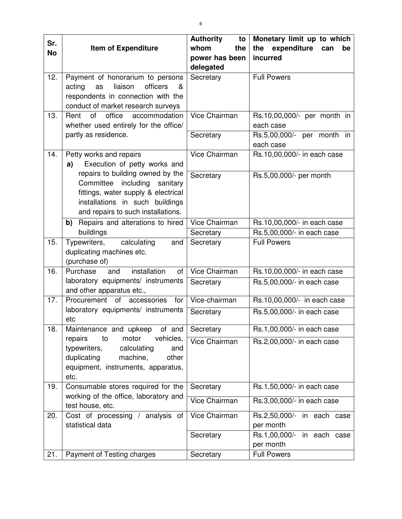| Sr.       |                                                                             | <b>Authority</b><br>to | Monetary limit up to which               |
|-----------|-----------------------------------------------------------------------------|------------------------|------------------------------------------|
| <b>No</b> | <b>Item of Expenditure</b>                                                  | whom<br>the            | the expenditure<br>can<br>be             |
|           |                                                                             | power has been         | incurred                                 |
|           |                                                                             | delegated              |                                          |
| 12.       | Payment of honorarium to persons                                            | Secretary              | <b>Full Powers</b>                       |
|           | liaison<br>officers<br>acting<br>as<br>&                                    |                        |                                          |
|           | respondents in connection with the                                          |                        |                                          |
| 13.       | conduct of market research surveys<br>Rent<br>of<br>office<br>accommodation | Vice Chairman          |                                          |
|           | whether used entirely for the office/                                       |                        | Rs.10,00,000/- per month in<br>each case |
|           | partly as residence.                                                        | Secretary              | Rs.5,00,000/- per month in               |
|           |                                                                             |                        | each case                                |
| 14.       | Petty works and repairs                                                     | Vice Chairman          | Rs.10,00,000/- in each case              |
|           | Execution of petty works and<br>a)                                          |                        |                                          |
|           | repairs to building owned by the                                            | Secretary              | Rs.5,00,000/- per month                  |
|           | Committee<br>including<br>sanitary                                          |                        |                                          |
|           | fittings, water supply & electrical                                         |                        |                                          |
|           | installations in such buildings                                             |                        |                                          |
|           | and repairs to such installations.                                          |                        |                                          |
|           | b) Repairs and alterations to hired                                         | Vice Chairman          | Rs.10,00,000/- in each case              |
|           | buildings                                                                   | Secretary              | Rs.5,00,000/- in each case               |
| 15.       | calculating<br>Typewriters,<br>and                                          | Secretary              | <b>Full Powers</b>                       |
|           | duplicating machines etc.                                                   |                        |                                          |
| 16.       | (purchase of)<br>Purchase<br>installation<br>and<br>of                      | Vice Chairman          |                                          |
|           | laboratory equipments/ instruments                                          |                        | Rs.10,00,000/- in each case              |
|           | and other apparatus etc.,                                                   | Secretary              | Rs.5,00,000/- in each case               |
| 17.       | Procurement of accessories<br>for                                           | Vice-chairman          | Rs.10,00,000/- in each case              |
|           | laboratory equipments/ instruments                                          | Secretary              | Rs.5,00,000/- in each case               |
|           | etc<br>$of$ and                                                             |                        | Rs.1,00,000/- in each case               |
| 18.       | Maintenance and upkeep<br>repairs<br>vehicles,<br>to<br>motor               | Secretary              |                                          |
|           | typewriters,<br>calculating<br>and                                          | Vice Chairman          | Rs.2,00,000/- in each case               |
|           | duplicating<br>machine,<br>other                                            |                        |                                          |
|           | equipment, instruments, apparatus,                                          |                        |                                          |
|           | etc.                                                                        |                        |                                          |
| 19.       | Consumable stores required for the                                          | Secretary              | Rs.1,50,000/- in each case               |
|           | working of the office, laboratory and                                       | Vice Chairman          | Rs.3,00,000/- in each case               |
|           | test house, etc.                                                            |                        |                                          |
| 20.       | Cost of processing / analysis of                                            | Vice Chairman          | Rs.2,50,000/- in each case               |
|           | statistical data                                                            |                        | per month                                |
|           |                                                                             | Secretary              | Rs.1,00,000/- in each case               |
| 21.       |                                                                             |                        | per month<br><b>Full Powers</b>          |
|           | Payment of Testing charges                                                  | Secretary              |                                          |